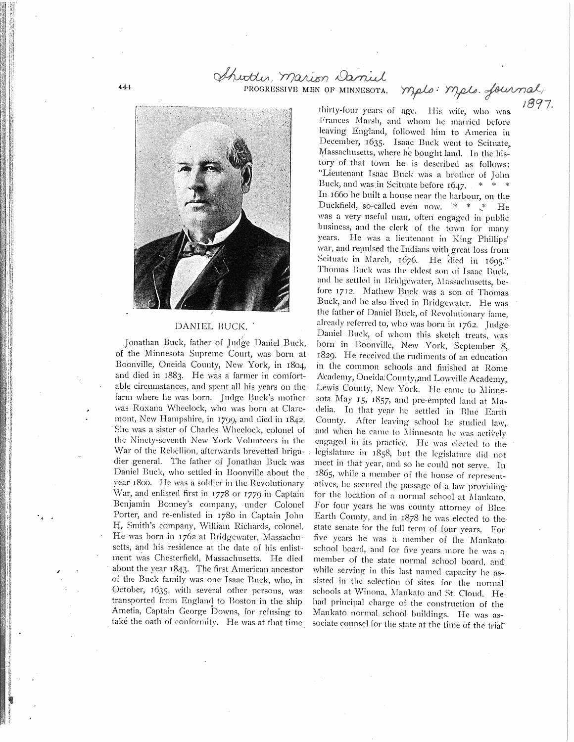PROGRESSIVE MEN OF MINNESOTA.

Shutter, marion Daniel

## DANIEL BUCK.

/ Jonathan Buck, father of Judge Daniel Buck, of the Minnesota Supreme Court, was born at Boonville, Oneida County, New York, in 1804, and died in 1883. He was a farmer in comfortable circumstances, and spent all his years on the farm where he was born. Judge Buck's mother was Roxana VVheelock, who was born at Claremont, New Hampshire, in  $1700$ , and died in  $1842$ . .She was a sister of Charles Wheelock, colonel of the Ninety'-seventh New York Volunteers in the War of the Rebellion, afterwards brevetted brigadier general. The father of Jonathan Buck was Daniel Buck, who settled in Boonville about the vear 1800. He was a soldier in the Revolutionary War, and enlisted first in 1778 or 1779 in Captain Benjamin Bonney's company, under Colonel Porter, and re-enlisted in 1780 in Captain John H., Smith's company, William Richards, colonel. He was born in 1762 at Bridgewater, Massachusetts, and his residence at the date of his enlistment was Chesterfield, Massachusetts. He died about the year 1843. The first American ancestor of the Buck family was one Isaac Buck, who, in October, 1635, with several other persons, was transported from England to Boston in the ship Ametia, Captain George Downs, for refusing to take the oath of conformity. He was at that time

thirty-four years of age. His wife, who was Frances Marsh, and whom he married before leaving England, followed him to America in December, 1635. Isaac Buck went to Scituate, Massachusetts, where he bought land. In the history of that town he is described as follows: "Lieutenant Isaac Buck was a brother of John Buck, and was in Scituate before  $1647.$  \* \* \* In 1660 he built a house near the harbour, on the Duckfield, so-called even now.  $* * * ...$  He was a very useful man, often engaged in public business, and the clerk of the town for many years. He was a lieutenant in King Phillips' war, and repulsed the Indians with great loss from Scituate in March, 1676. He died in 1695." Thomas Buck was the eldest son of Isaac Buck, and he settled in Bridgewater, Massachusetts, before 1712. Mathew Buck was a son of Thomas. Buck, and he also lived in Bridgewater. He was the father of Daniel Buck, of Revolutionary fame, already referred to, who was born in 1762. Judge-Daniel Buck, of whom this sketch treats, was born in Boonville, New York, September 8,. 1829. He received the rudiments of an education in the common schools and finished at Rome Academy, Oneida: County, and Lowville Academy, Lcwis County, New York. He came to Minnesota May 15, 1857, and pre-empted land at Madelia. In that year he settled in Blue Earth County. After leaving school he studied law, and when he came to Minnesota he was actively engaged in its practice. He was elected to the legislature in 1858, but the legislature did not meet in that year, and. so he could not serve. In 1865, while a member of the house of representatives, he secured the passage of a law providing' for the location of a normal school at Mankato. For four years he was county attorney of Blue Earth County, and in 1878 he was elected to thestate senate for the full term of four years. For five years he was a member of the Mankato. school board, and for five years more he was a member of the state normal school board, and while serving in this last named capacity he assisted in the selection of sites for the normal schools at Winona, Mankato and St. Cloud. Hehad principal charge of the construction of the Mankato normal school buildings. He was associate counsel for the state at the time of the triar

mels: mels. fournal,

1897.

 $44.4$